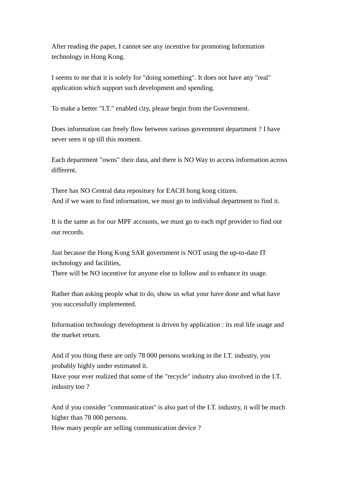After reading the paper, I cannot see any incentive for promoting Information technology in Hong Kong.

I seems to me that it is solely for "doing something". It does not have any "real" application which support such development and spending.

To make a better "I.T." enabled city, please begin from the Government.

Does information can freely flow between various government department ? I have never seen it up till this moment.

Each department "owns" their data, and there is NO Way to access information across different.

There has NO Central data repository for EACH hong kong citizen. And if we want to find information, we must go to individual department to find it.

It is the same as for our MPF accounts, we must go to each mpf provider to find out our records.

Just because the Hong Kong SAR government is NOT using the up-to-date IT technology and facilities,

There will be NO incentive for anyone else to follow and to enhance its usage.

Rather than asking people what to do, show us what your have done and what have you successfully implemented.

Information technology development is driven by application : its real life usage and the market return.

And if you thing there are only 78 000 persons working in the I.T. industry, you probably highly under estimated it.

Have your ever realized that some of the "recycle" industry also involved in the I.T. industry too ?

And if you consider "communication" is also part of the I.T. industry, it will be much higher than 78 000 persons.

How many people are selling communication device ?